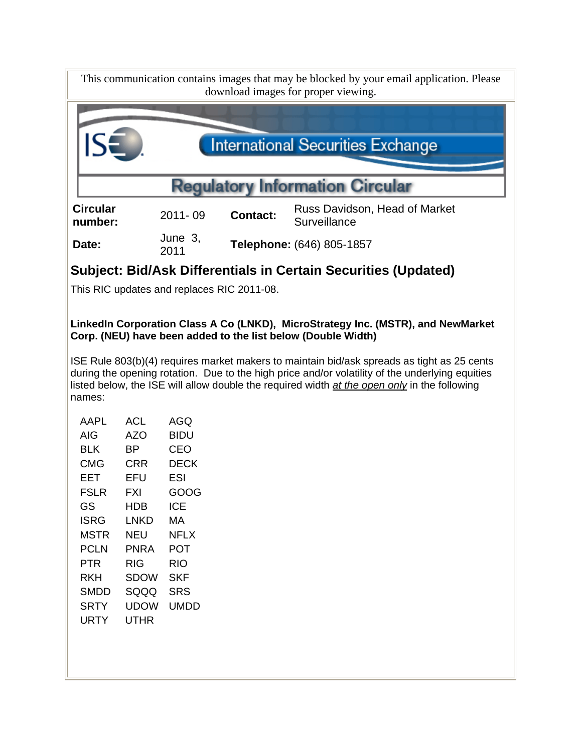

## **LinkedIn Corporation Class A Co (LNKD), MicroStrategy Inc. (MSTR), and NewMarket Corp. (NEU) have been added to the list below (Double Width)**

ISE Rule 803(b)(4) requires market makers to maintain bid/ask spreads as tight as 25 cents during the opening rotation. Due to the high price and/or volatility of the underlying equities listed below, the ISE will allow double the required width *at the open only* in the following names:

| AAPI | ACL  | AGO  |
|------|------|------|
| AIG  | AZO  | BIDU |
| BLK  | ВP   | CEO  |
| CMG  | CRR  | DECK |
| EET  | EFU  | ESI  |
| FSLR | FXI  | GOOG |
| GS   | HDB  | ICE  |
| ISRG | LNKD | МA   |
| MSTR | NEU  | NFLX |
| PCLN | PNRA | POT  |
| PTR  | RIG  | RIO  |
| RKH  | SDOW | SKF  |
| SMDD | SQQQ | SRS  |
| SRTY | UDOW | UMDD |
| URTY | UTHR |      |